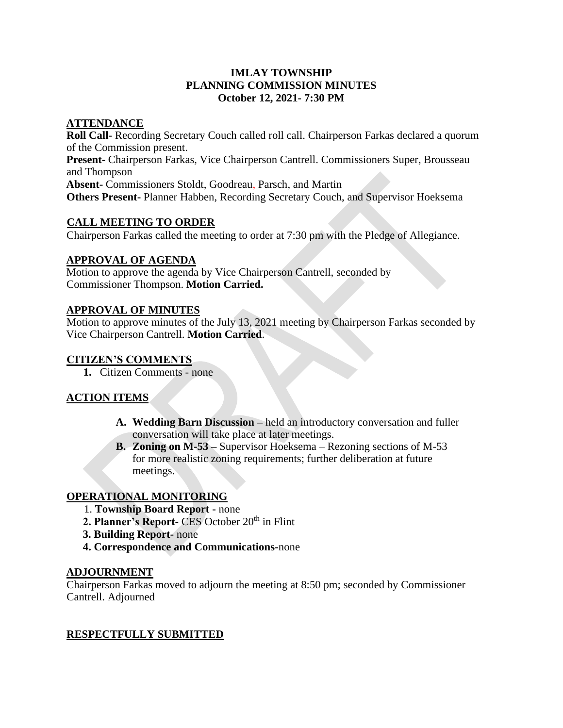# **IMLAY TOWNSHIP PLANNING COMMISSION MINUTES October 12, 2021- 7:30 PM**

## **ATTENDANCE**

**Roll Call-** Recording Secretary Couch called roll call. Chairperson Farkas declared a quorum of the Commission present. **Present-** Chairperson Farkas, Vice Chairperson Cantrell. Commissioners Super, Brousseau and Thompson **Absent-** Commissioners Stoldt, Goodreau, Parsch, and Martin **Others Present-** Planner Habben, Recording Secretary Couch, and Supervisor Hoeksema

# **CALL MEETING TO ORDER**

Chairperson Farkas called the meeting to order at 7:30 pm with the Pledge of Allegiance.

#### **APPROVAL OF AGENDA**

Motion to approve the agenda by Vice Chairperson Cantrell, seconded by Commissioner Thompson. **Motion Carried.** 

#### **APPROVAL OF MINUTES**

Motion to approve minutes of the July 13, 2021 meeting by Chairperson Farkas seconded by Vice Chairperson Cantrell. **Motion Carried**.

## **CITIZEN'S COMMENTS**

**1.** Citizen Comments - none

# **ACTION ITEMS**

- **A. Wedding Barn Discussion –** held an introductory conversation and fuller conversation will take place at later meetings.
- **B. Zoning on M-53 –** Supervisor Hoeksema Rezoning sections of M-53 for more realistic zoning requirements; further deliberation at future meetings.

# **OPERATIONAL MONITORING**

- 1. **Township Board Report -** none
- **2. Planner's Report-** CES October 20<sup>th</sup> in Flint
- **3. Building Report-** none
- **4. Correspondence and Communications-**none

#### **ADJOURNMENT**

Chairperson Farkas moved to adjourn the meeting at 8:50 pm; seconded by Commissioner Cantrell. Adjourned

# **RESPECTFULLY SUBMITTED**